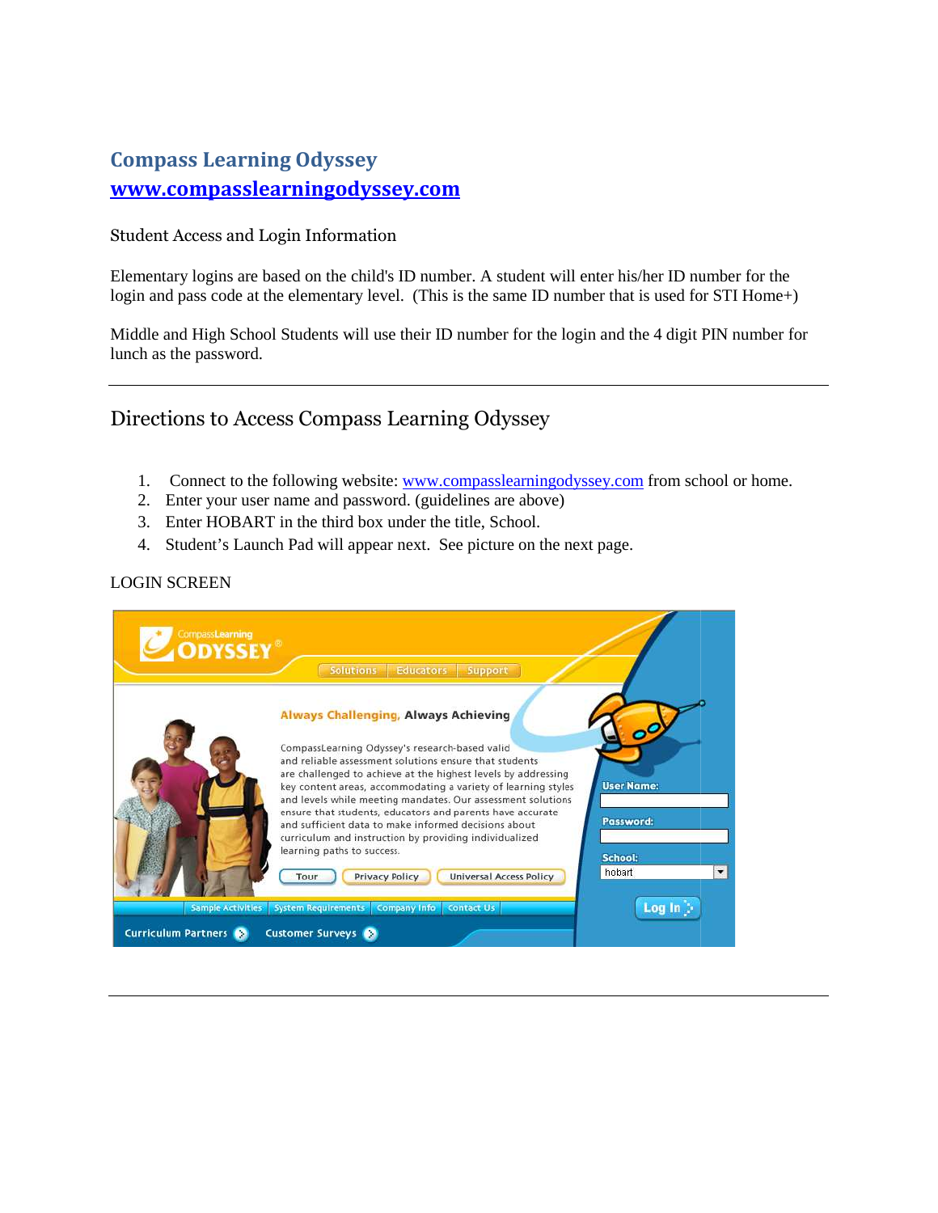## Compass Learning Odyssey Odyssey www.compasslearningodyssey.com

Student Access and Login Information

Elementary logins are based on the child's ID number. A student will enter his/her ID number for the login and pass code at the elementary level. (This is the same ID number that is used for STI Home+)

Middle and High School Students will use their ID number for the login and the 4 digit lunch as the password. ode at the elementary level. (This is the same ID number that is used for STI Home+)<br>School Students will use their ID number for the login and the 4 digit PIN number for<br>word.<br>D Access Compass Learning Odyssey<br>t to the fo

## Directions to Access Compass Learning Odyssey

- 1. Connect to the following website: **www.compasslearningodyssey.com** from school or home.
- 2. Enter your user name and password. (guidelines are above)
- 3. Enter HOBART in the third box under the title, School.
- 4. Student's Launch Pad will appear next. See picture on the next page.

## LOGIN SCREEN

| <b>CompassLearning</b>   | <b>Solutions</b><br><b>Educators</b><br>Support                                                                                                                                                                                                                                                                                                                                                                                                                                                                        |                                                 |
|--------------------------|------------------------------------------------------------------------------------------------------------------------------------------------------------------------------------------------------------------------------------------------------------------------------------------------------------------------------------------------------------------------------------------------------------------------------------------------------------------------------------------------------------------------|-------------------------------------------------|
|                          | <b>Always Challenging, Always Achieving</b>                                                                                                                                                                                                                                                                                                                                                                                                                                                                            |                                                 |
|                          | CompassLearning Odyssey's research-based valid<br>and reliable assessment solutions ensure that students<br>are challenged to achieve at the highest levels by addressing<br>key content areas, accommodating a variety of learning styles<br>and levels while meeting mandates. Our assessment solutions<br>ensure that students, educators and parents have accurate<br>and sufficient data to make informed decisions about<br>curriculum and instruction by providing individualized<br>learning paths to success. | o'<br><b>User Name:</b><br>Password:<br>School: |
|                          | <b>Privacy Policy</b><br><b>Universal Access Policy</b><br>Tour                                                                                                                                                                                                                                                                                                                                                                                                                                                        | hobart<br>$\blacktriangledown$                  |
| <b>Sample Activities</b> | <b>System Requirements</b><br><b>Company Info</b><br><b>Contact Us</b>                                                                                                                                                                                                                                                                                                                                                                                                                                                 | Log In D                                        |
| Curriculum Partners      | <b>Customer Surveys</b>                                                                                                                                                                                                                                                                                                                                                                                                                                                                                                |                                                 |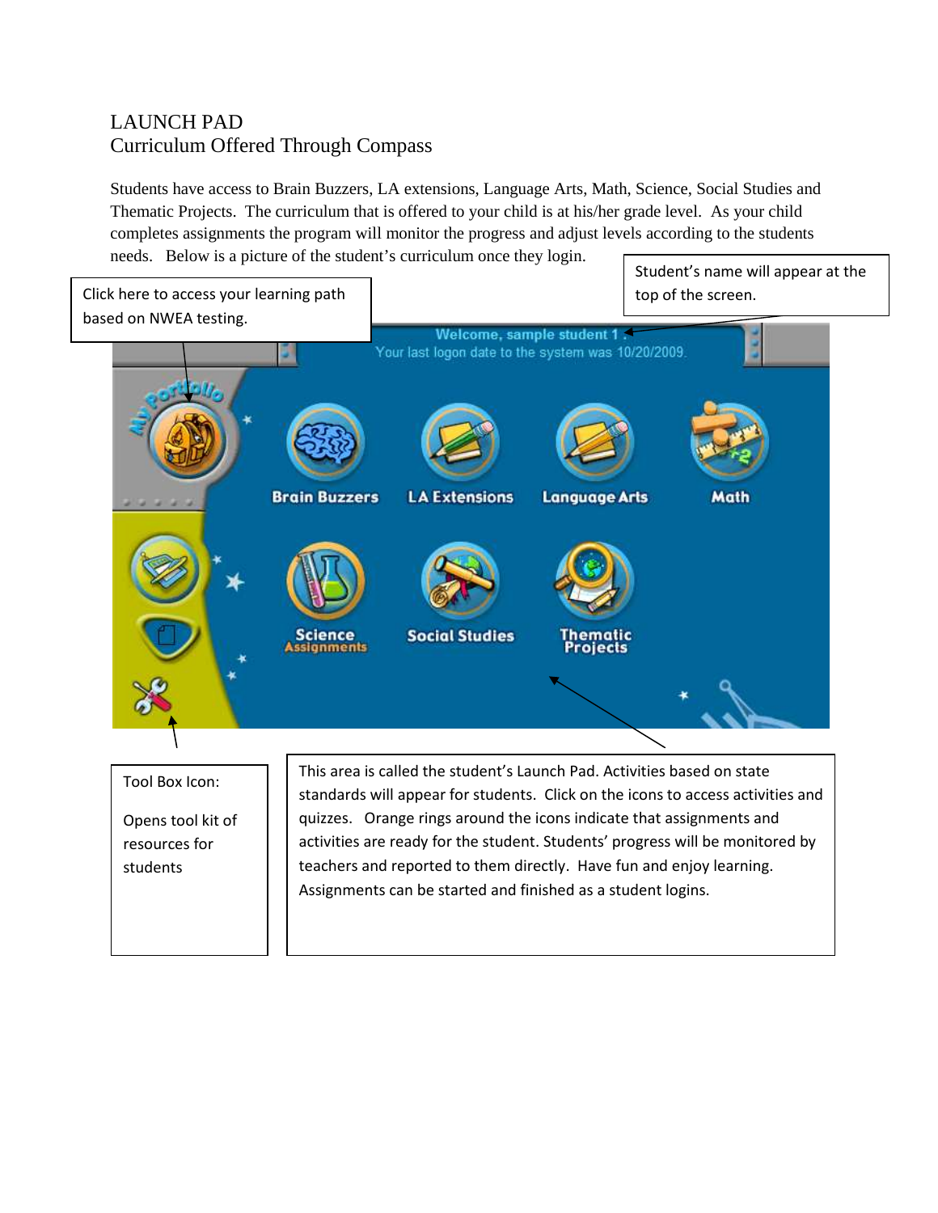## LAUNCH PAD Curriculum Offered Through Compass

Students have access to Brain Buzzers, LA extensions, Language Arts, Math, Science, Social Studies and Thematic Projects. The curriculum that is offered to your child is at his/her grade level. As your child completes assignments the program will monitor the progress and adjust levels according to the students needs. Below is a picture of the student's curriculum once they login. Student's name will appear at the



Opens tool kit of resources for students

standards will appear for students. Click on the icons to access activities and quizzes. Orange rings around the icons indicate that assignments and activities are ready for the student. Students' progress will be monitored by teachers and reported to them directly. Have fun and enjoy learning. Assignments can be started and finished as a student logins.